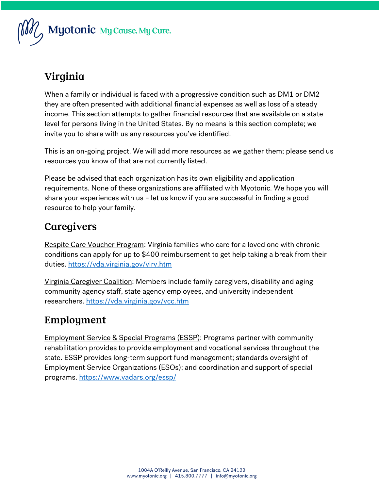

# Virginia

When a family or individual is faced with a progressive condition such as DM1 or DM2 they are often presented with additional financial expenses as well as loss of a steady income. This section attempts to gather financial resources that are available on a state level for persons living in the United States. By no means is this section complete; we invite you to share with us any resources you've identified.

This is an on-going project. We will add more resources as we gather them; please send us resources you know of that are not currently listed.

Please be advised that each organization has its own eligibility and application requirements. None of these organizations are affiliated with Myotonic. We hope you will share your experiences with us – let us know if you are successful in finding a good resource to help your family.

## Caregivers

Respite Care Voucher Program: Virginia families who care for a loved one with chronic conditions can apply for up to \$400 reimbursement to get help taking a break from their duties.<https://vda.virginia.gov/vlrv.htm>

Virginia Caregiver Coalition: Members include family caregivers, disability and aging community agency staff, state agency employees, and university independent researchers.<https://vda.virginia.gov/vcc.htm>

## Employment

Employment Service & Special Programs (ESSP): Programs partner with community rehabilitation provides to provide employment and vocational services throughout the state. ESSP provides long-term support fund management; standards oversight of Employment Service Organizations (ESOs); and coordination and support of special programs[. https://www.vadars.org/essp/](https://www.vadars.org/essp/)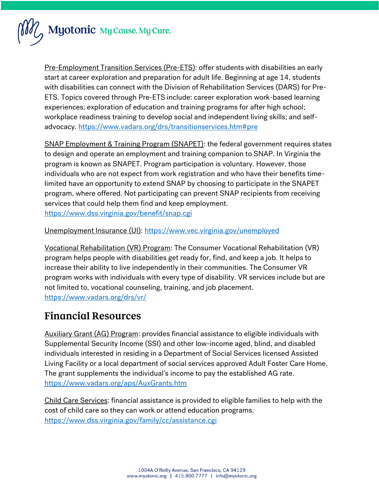

Pre-Employment Transition Services (Pre-ETS): offer students with disabilities an early start at career exploration and preparation for adult life. Beginning at age 14, students with disabilities can connect with the Division of Rehabilitation Services (DARS) for Pre-ETS. Topics covered through Pre-ETS include: career exploration work-based learning experiences; exploration of education and training programs for after high school; workplace readiness training to develop social and independent living skills; and selfadvocacy.<https://www.vadars.org/drs/transitionservices.htm#pre>

SNAP Employment & Training Program (SNAPET): the federal government requires states to design and operate an employment and training companion to SNAP. In Virginia the program is known as SNAPET. Program participation is voluntary. However, those individuals who are not expect from work registration and who have their benefits timelimited have an opportunity to extend SNAP by choosing to participate in the SNAPET program, where offered. Not participating can prevent SNAP recipients from receiving services that could help them find and keep employment. <https://www.dss.virginia.gov/benefit/snap.cgi>

#### Unemployment Insurance (UI):<https://www.vec.virginia.gov/unemployed>

Vocational Rehabilitation (VR) Program: The Consumer Vocational Rehabilitation (VR) program helps people with disabilities get ready for, find, and keep a job. It helps to increase their ability to live independently in their communities. The Consumer VR program works with individuals with every type of disability. VR services include but are not limited to, vocational counseling, training, and job placement. <https://www.vadars.org/drs/vr/>

#### **Financial Resources**

Auxiliary Grant (AG) Program: provides financial assistance to eligible individuals with Supplemental Security Income (SSI) and other low-income aged, blind, and disabled individuals interested in residing in a Department of Social Services licensed Assisted Living Facility or a local department of social services approved Adult Foster Care Home. The grant supplements the individual's income to pay the established AG rate. <https://www.vadars.org/aps/AuxGrants.htm>

Child Care Services: financial assistance is provided to eligible families to help with the cost of child care so they can work or attend education programs. <https://www.dss.virginia.gov/family/cc/assistance.cgi>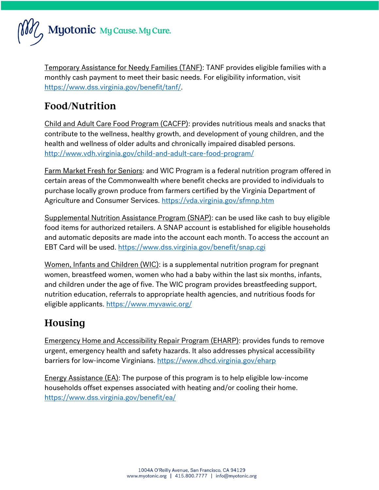

Temporary Assistance for Needy Families (TANF): TANF provides eligible families with a monthly cash payment to meet their basic needs. For eligibility information, visit [https://www.dss.virginia.gov/benefit/tanf/.](https://www.dss.virginia.gov/benefit/tanf/)

### Food/Nutrition

Child and Adult Care Food Program (CACFP): provides nutritious meals and snacks that contribute to the wellness, healthy growth, and development of young children, and the health and wellness of older adults and chronically impaired disabled persons. <http://www.vdh.virginia.gov/child-and-adult-care-food-program/>

Farm Market Fresh for Seniors: and WIC Program is a federal nutrition program offered in certain areas of the Commonwealth where benefit checks are provided to individuals to purchase locally grown produce from farmers certified by the Virginia Department of Agriculture and Consumer Services.<https://vda.virginia.gov/sfmnp.htm>

Supplemental Nutrition Assistance Program (SNAP): can be used like cash to buy eligible food items for authorized retailers. A SNAP account is established for eligible households and automatic deposits are made into the account each month. To access the account an EBT Card will be used.<https://www.dss.virginia.gov/benefit/snap.cgi>

Women, Infants and Children (WIC): is a supplemental nutrition program for pregnant women, breastfeed women, women who had a baby within the last six months, infants, and children under the age of five. The WIC program provides breastfeeding support, nutrition education, referrals to appropriate health agencies, and nutritious foods for eligible applicants.<https://www.myvawic.org/>

## Housing

Emergency Home and Accessibility Repair Program (EHARP): provides funds to remove urgent, emergency health and safety hazards. It also addresses physical accessibility barriers for low-income Virginians.<https://www.dhcd.virginia.gov/eharp>

Energy Assistance (EA): The purpose of this program is to help eligible low-income households offset expenses associated with heating and/or cooling their home. <https://www.dss.virginia.gov/benefit/ea/>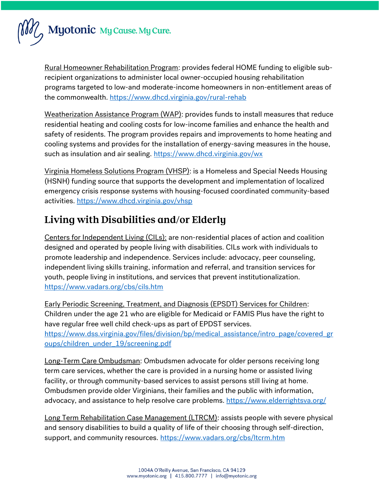

Rural Homeowner Rehabilitation Program: provides federal HOME funding to eligible subrecipient organizations to administer local owner-occupied housing rehabilitation programs targeted to low-and moderate-income homeowners in non-entitlement areas of the commonwealth.<https://www.dhcd.virginia.gov/rural-rehab>

Weatherization Assistance Program (WAP): provides funds to install measures that reduce residential heating and cooling costs for low-income families and enhance the health and safety of residents. The program provides repairs and improvements to home heating and cooling systems and provides for the installation of energy-saving measures in the house, such as insulation and air sealing.<https://www.dhcd.virginia.gov/wx>

Virginia Homeless Solutions Program (VHSP): is a Homeless and Special Needs Housing (HSNH) funding source that supports the development and implementation of localized emergency crisis response systems with housing-focused coordinated community-based activities.<https://www.dhcd.virginia.gov/vhsp>

## Living with Disabilities and/or Elderly

Centers for Independent Living (CILs): are non-residential places of action and coalition designed and operated by people living with disabilities. CILs work with individuals to promote leadership and independence. Services include: advocacy, peer counseling, independent living skills training, information and referral, and transition services for youth, people living in institutions, and services that prevent institutionalization. <https://www.vadars.org/cbs/cils.htm>

Early Periodic Screening, Treatment, and Diagnosis (EPSDT) Services for Children: Children under the age 21 who are eligible for Medicaid or FAMIS Plus have the right to have regular free well child check-ups as part of EPDST services. [https://www.dss.virginia.gov/files/division/bp/medical\\_assistance/intro\\_page/covered\\_gr](https://www.dss.virginia.gov/files/division/bp/medical_assistance/intro_page/covered_groups/children_under_19/screening.pdf) [oups/children\\_under\\_19/screening.pdf](https://www.dss.virginia.gov/files/division/bp/medical_assistance/intro_page/covered_groups/children_under_19/screening.pdf)

Long-Term Care Ombudsman: Ombudsmen advocate for older persons receiving long term care services, whether the care is provided in a nursing home or assisted living facility, or through community-based services to assist persons still living at home. Ombudsmen provide older Virginians, their families and the public with information, advocacy, and assistance to help resolve care problems.<https://www.elderrightsva.org/>

Long Term Rehabilitation Case Management (LTRCM): assists people with severe physical and sensory disabilities to build a quality of life of their choosing through self-direction, support, and community resources.<https://www.vadars.org/cbs/ltcrm.htm>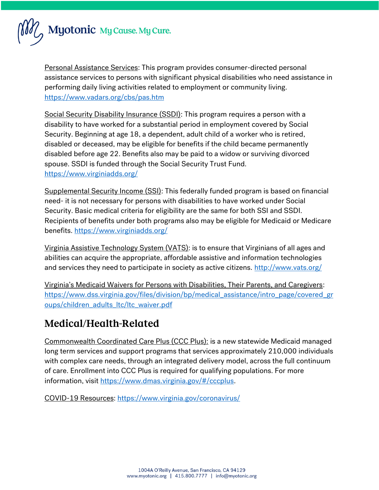

Personal Assistance Services: This program provides consumer-directed personal assistance services to persons with significant physical disabilities who need assistance in performing daily living activities related to employment or community living. <https://www.vadars.org/cbs/pas.htm>

Social Security Disability Insurance (SSDI): This program requires a person with a disability to have worked for a substantial period in employment covered by Social Security. Beginning at age 18, a dependent, adult child of a worker who is retired, disabled or deceased, may be eligible for benefits if the child became permanently disabled before age 22. Benefits also may be paid to a widow or surviving divorced spouse. SSDI is funded through the Social Security Trust Fund. <https://www.virginiadds.org/>

Supplemental Security Income (SSI): This federally funded program is based on financial need- it is not necessary for persons with disabilities to have worked under Social Security. Basic medical criteria for eligibility are the same for both SSI and SSDI. Recipients of benefits under both programs also may be eligible for Medicaid or Medicare benefits.<https://www.virginiadds.org/>

Virginia Assistive Technology System (VATS): is to ensure that Virginians of all ages and abilities can acquire the appropriate, affordable assistive and information technologies and services they need to participate in society as active citizens.<http://www.vats.org/>

Virginia's Medicaid Waivers for Persons with Disabilities, Their Parents, and Caregivers: [https://www.dss.virginia.gov/files/division/bp/medical\\_assistance/intro\\_page/covered\\_gr](https://www.dss.virginia.gov/files/division/bp/medical_assistance/intro_page/covered_groups/children_adults_ltc/ltc_waiver.pdf) [oups/children\\_adults\\_ltc/ltc\\_waiver.pdf](https://www.dss.virginia.gov/files/division/bp/medical_assistance/intro_page/covered_groups/children_adults_ltc/ltc_waiver.pdf)

## Medical/Health-Related

Commonwealth Coordinated Care Plus (CCC Plus): is a new statewide Medicaid managed long term services and support programs that services approximately 210,000 individuals with complex care needs, through an integrated delivery model, across the full continuum of care. Enrollment into CCC Plus is required for qualifying populations. For more information, visit [https://www.dmas.virginia.gov/#/cccplus.](https://www.dmas.virginia.gov/#/cccplus)

COVID-19 Resources:<https://www.virginia.gov/coronavirus/>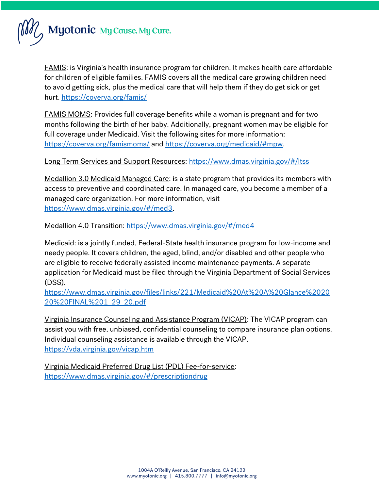

FAMIS: is Virginia's health insurance program for children. It makes health care affordable for children of eligible families. FAMIS covers all the medical care growing children need to avoid getting sick, plus the medical care that will help them if they do get sick or get hurt.<https://coverva.org/famis/>

FAMIS MOMS: Provides full coverage benefits while a woman is pregnant and for two months following the birth of her baby. Additionally, pregnant women may be eligible for full coverage under Medicaid. Visit the following sites for more information: <https://coverva.org/famismoms/> and [https://coverva.org/medicaid/#mpw.](https://coverva.org/medicaid/#mpw)

Long Term Services and Support Resources:<https://www.dmas.virginia.gov/#/ltss>

Medallion 3.0 Medicaid Managed Care: is a state program that provides its members with access to preventive and coordinated care. In managed care, you become a member of a managed care organization. For more information, visit [https://www.dmas.virginia.gov/#/med3.](https://www.dmas.virginia.gov/#/med3)

Medallion 4.0 Transition:<https://www.dmas.virginia.gov/#/med4>

Medicaid: is a jointly funded, Federal-State health insurance program for low-income and needy people. It covers children, the aged, blind, and/or disabled and other people who are eligible to receive federally assisted income maintenance payments. A separate application for Medicaid must be filed through the Virginia Department of Social Services (DSS).

[https://www.dmas.virginia.gov/files/links/221/Medicaid%20At%20A%20Glance%2020](https://www.dmas.virginia.gov/files/links/221/Medicaid%20At%20A%20Glance%202020%20FINAL%201_29_20.pdf) [20%20FINAL%201\\_29\\_20.pdf](https://www.dmas.virginia.gov/files/links/221/Medicaid%20At%20A%20Glance%202020%20FINAL%201_29_20.pdf)

Virginia Insurance Counseling and Assistance Program (VICAP): The VICAP program can assist you with free, unbiased, confidential counseling to compare insurance plan options. Individual counseling assistance is available through the VICAP. <https://vda.virginia.gov/vicap.htm>

Virginia Medicaid Preferred Drug List (PDL) Fee-for-service: <https://www.dmas.virginia.gov/#/prescriptiondrug>